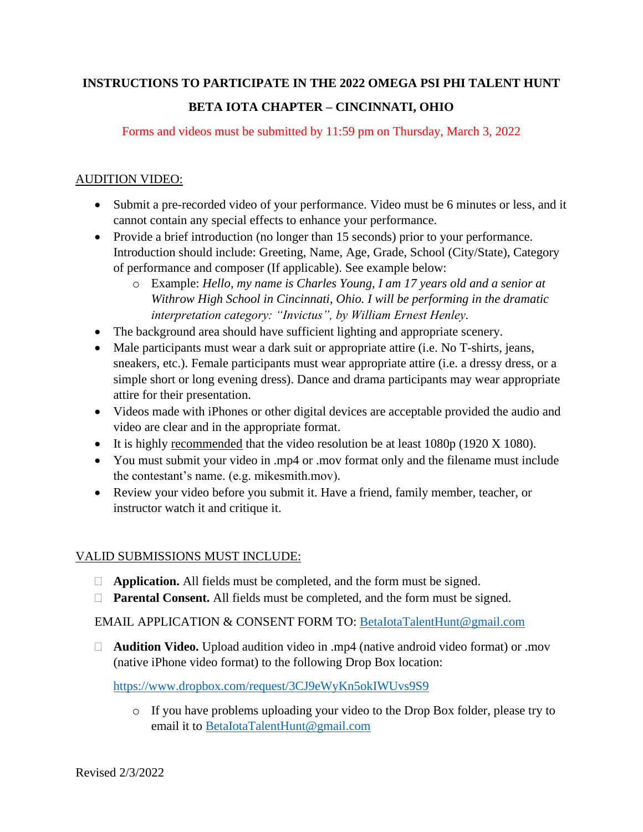## **INSTRUCTIONS TO PARTICIPATE IN THE 2022 OMEGA PSI PHI TALENT HUNT BETA IOTA CHAPTER – CINCINNATI, OHIO**

Forms and videos must be submitted by 11:59 pm on Thursday, March 3, 2022

## AUDITION VIDEO:

- Submit a pre-recorded video of your performance. Video must be 6 minutes or less, and it cannot contain any special effects to enhance your performance.
- Provide a brief introduction (no longer than 15 seconds) prior to your performance. Introduction should include: Greeting, Name, Age, Grade, School (City/State), Category of performance and composer (If applicable). See example below:
	- o Example: *Hello, my name is Charles Young, I am 17 years old and a senior at Withrow High School in Cincinnati, Ohio. I will be performing in the dramatic interpretation category: "Invictus", by William Ernest Henley.*
- The background area should have sufficient lighting and appropriate scenery.
- Male participants must wear a dark suit or appropriate attire (i.e. No T-shirts, jeans, sneakers, etc.). Female participants must wear appropriate attire (i.e. a dressy dress, or a simple short or long evening dress). Dance and drama participants may wear appropriate attire for their presentation.
- Videos made with iPhones or other digital devices are acceptable provided the audio and video are clear and in the appropriate format.
- It is highly recommended that the video resolution be at least 1080p (1920 X 1080).
- You must submit your video in .mp4 or .mov format only and the filename must include the contestant's name. (e.g. mikesmith.mov).
- Review your video before you submit it. Have a friend, family member, teacher, or instructor watch it and critique it.

## VALID SUBMISSIONS MUST INCLUDE:

- **Application.** All fields must be completed, and the form must be signed.
- **Parental Consent.** All fields must be completed, and the form must be signed.

EMAIL APPLICATION & CONSENT FORM TO: [BetaIotaTalentHunt@gmail.com](mailto:BetaIotaTalentHunt@gmail.com)

□ **Audition Video.** Upload audition video in .mp4 (native android video format) or .mov (native iPhone video format) to the following Drop Box location:

<https://www.dropbox.com/request/3CJ9eWyKn5okIWUvs9S9>

o If you have problems uploading your video to the Drop Box folder, please try to email it to [BetaIotaTalentHunt@gmail.com](mailto:BetaIotaTalentHunt@gmail.com)